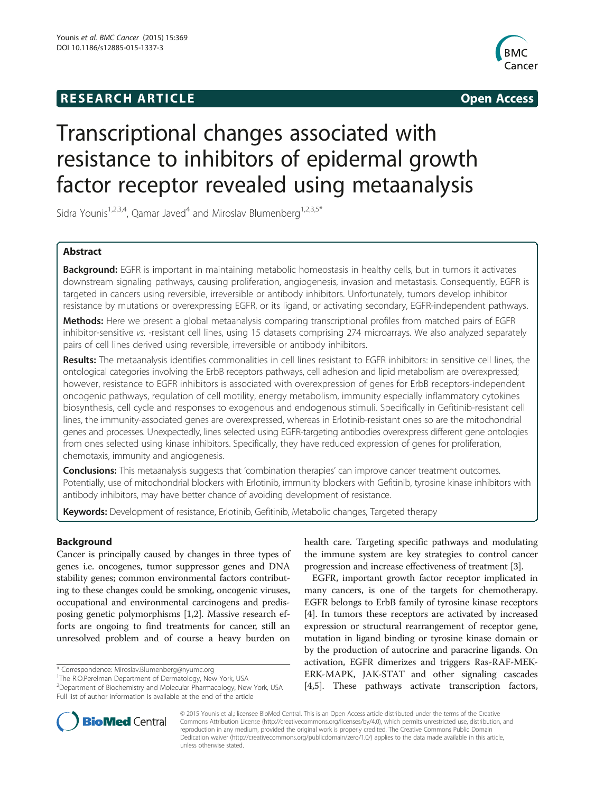# **RESEARCH ARTICLE Example 2014 The SEAR CH ACCESS**



# Transcriptional changes associated with resistance to inhibitors of epidermal growth factor receptor revealed using metaanalysis

Sidra Younis<sup>1,2,3,4</sup>, Qamar Javed<sup>4</sup> and Miroslav Blumenberg<sup>1,2,3,5\*</sup>

# Abstract

Background: EGFR is important in maintaining metabolic homeostasis in healthy cells, but in tumors it activates downstream signaling pathways, causing proliferation, angiogenesis, invasion and metastasis. Consequently, EGFR is targeted in cancers using reversible, irreversible or antibody inhibitors. Unfortunately, tumors develop inhibitor resistance by mutations or overexpressing EGFR, or its ligand, or activating secondary, EGFR-independent pathways.

Methods: Here we present a global metaanalysis comparing transcriptional profiles from matched pairs of EGFR inhibitor-sensitive vs. -resistant cell lines, using 15 datasets comprising 274 microarrays. We also analyzed separately pairs of cell lines derived using reversible, irreversible or antibody inhibitors.

Results: The metaanalysis identifies commonalities in cell lines resistant to EGFR inhibitors: in sensitive cell lines, the ontological categories involving the ErbB receptors pathways, cell adhesion and lipid metabolism are overexpressed; however, resistance to EGFR inhibitors is associated with overexpression of genes for ErbB receptors-independent oncogenic pathways, regulation of cell motility, energy metabolism, immunity especially inflammatory cytokines biosynthesis, cell cycle and responses to exogenous and endogenous stimuli. Specifically in Gefitinib-resistant cell lines, the immunity-associated genes are overexpressed, whereas in Erlotinib-resistant ones so are the mitochondrial genes and processes. Unexpectedly, lines selected using EGFR-targeting antibodies overexpress different gene ontologies from ones selected using kinase inhibitors. Specifically, they have reduced expression of genes for proliferation, chemotaxis, immunity and angiogenesis.

**Conclusions:** This metaanalysis suggests that 'combination therapies' can improve cancer treatment outcomes. Potentially, use of mitochondrial blockers with Erlotinib, immunity blockers with Gefitinib, tyrosine kinase inhibitors with antibody inhibitors, may have better chance of avoiding development of resistance.

Keywords: Development of resistance, Erlotinib, Gefitinib, Metabolic changes, Targeted therapy

# **Background**

Cancer is principally caused by changes in three types of genes i.e. oncogenes, tumor suppressor genes and DNA stability genes; common environmental factors contributing to these changes could be smoking, oncogenic viruses, occupational and environmental carcinogens and predisposing genetic polymorphisms [\[1,2\]](#page-13-0). Massive research efforts are ongoing to find treatments for cancer, still an unresolved problem and of course a heavy burden on

\* Correspondence: [Miroslav.Blumenberg@nyumc.org](mailto:Miroslav.Blumenberg@nyumc.org) <sup>1</sup>

health care. Targeting specific pathways and modulating the immune system are key strategies to control cancer progression and increase effectiveness of treatment [\[3](#page-13-0)].

EGFR, important growth factor receptor implicated in many cancers, is one of the targets for chemotherapy. EGFR belongs to ErbB family of tyrosine kinase receptors [[4\]](#page-13-0). In tumors these receptors are activated by increased expression or structural rearrangement of receptor gene, mutation in ligand binding or tyrosine kinase domain or by the production of autocrine and paracrine ligands. On activation, EGFR dimerizes and triggers Ras-RAF-MEK-ERK-MAPK, JAK-STAT and other signaling cascades [[4,5\]](#page-13-0). These pathways activate transcription factors,



© 2015 Younis et al.; licensee BioMed Central. This is an Open Access article distributed under the terms of the Creative Commons Attribution License [\(http://creativecommons.org/licenses/by/4.0\)](http://creativecommons.org/licenses/by/4.0), which permits unrestricted use, distribution, and reproduction in any medium, provided the original work is properly credited. The Creative Commons Public Domain Dedication waiver [\(http://creativecommons.org/publicdomain/zero/1.0/](http://creativecommons.org/publicdomain/zero/1.0/)) applies to the data made available in this article, unless otherwise stated.

<sup>&</sup>lt;sup>1</sup>The R.O.Perelman Department of Dermatology, New York, USA

<sup>2</sup> Department of Biochemistry and Molecular Pharmacology, New York, USA

Full list of author information is available at the end of the article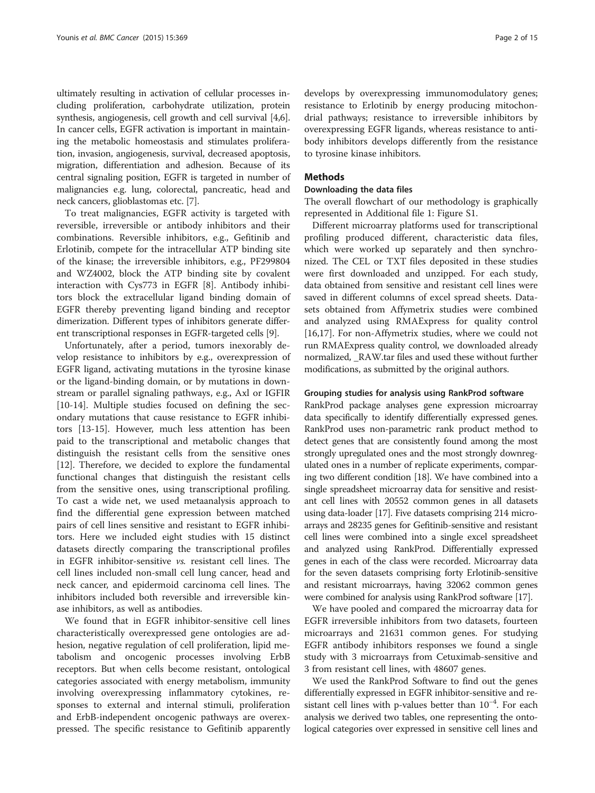ultimately resulting in activation of cellular processes including proliferation, carbohydrate utilization, protein synthesis, angiogenesis, cell growth and cell survival [[4](#page-13-0),[6](#page-13-0)]. In cancer cells, EGFR activation is important in maintaining the metabolic homeostasis and stimulates proliferation, invasion, angiogenesis, survival, decreased apoptosis, migration, differentiation and adhesion. Because of its central signaling position, EGFR is targeted in number of malignancies e.g. lung, colorectal, pancreatic, head and neck cancers, glioblastomas etc. [[7](#page-14-0)].

To treat malignancies, EGFR activity is targeted with reversible, irreversible or antibody inhibitors and their combinations. Reversible inhibitors, e.g., Gefitinib and Erlotinib, compete for the intracellular ATP binding site of the kinase; the irreversible inhibitors, e.g., PF299804 and WZ4002, block the ATP binding site by covalent interaction with Cys773 in EGFR [\[8](#page-14-0)]. Antibody inhibitors block the extracellular ligand binding domain of EGFR thereby preventing ligand binding and receptor dimerization. Different types of inhibitors generate different transcriptional responses in EGFR-targeted cells [[9](#page-14-0)].

Unfortunately, after a period, tumors inexorably develop resistance to inhibitors by e.g., overexpression of EGFR ligand, activating mutations in the tyrosine kinase or the ligand-binding domain, or by mutations in downstream or parallel signaling pathways, e.g., Axl or IGFIR [[10-14](#page-14-0)]. Multiple studies focused on defining the secondary mutations that cause resistance to EGFR inhibitors [\[13](#page-14-0)-[15\]](#page-14-0). However, much less attention has been paid to the transcriptional and metabolic changes that distinguish the resistant cells from the sensitive ones [[12\]](#page-14-0). Therefore, we decided to explore the fundamental functional changes that distinguish the resistant cells from the sensitive ones, using transcriptional profiling. To cast a wide net, we used metaanalysis approach to find the differential gene expression between matched pairs of cell lines sensitive and resistant to EGFR inhibitors. Here we included eight studies with 15 distinct datasets directly comparing the transcriptional profiles in EGFR inhibitor-sensitive vs. resistant cell lines. The cell lines included non-small cell lung cancer, head and neck cancer, and epidermoid carcinoma cell lines. The inhibitors included both reversible and irreversible kinase inhibitors, as well as antibodies.

We found that in EGFR inhibitor-sensitive cell lines characteristically overexpressed gene ontologies are adhesion, negative regulation of cell proliferation, lipid metabolism and oncogenic processes involving ErbB receptors. But when cells become resistant, ontological categories associated with energy metabolism, immunity involving overexpressing inflammatory cytokines, responses to external and internal stimuli, proliferation and ErbB-independent oncogenic pathways are overexpressed. The specific resistance to Gefitinib apparently

develops by overexpressing immunomodulatory genes; resistance to Erlotinib by energy producing mitochondrial pathways; resistance to irreversible inhibitors by overexpressing EGFR ligands, whereas resistance to antibody inhibitors develops differently from the resistance to tyrosine kinase inhibitors.

# **Methods**

# Downloading the data files

The overall flowchart of our methodology is graphically represented in Additional file [1:](#page-13-0) Figure S1.

Different microarray platforms used for transcriptional profiling produced different, characteristic data files, which were worked up separately and then synchronized. The CEL or TXT files deposited in these studies were first downloaded and unzipped. For each study, data obtained from sensitive and resistant cell lines were saved in different columns of excel spread sheets. Datasets obtained from Affymetrix studies were combined and analyzed using RMAExpress for quality control [[16,17\]](#page-14-0). For non-Affymetrix studies, where we could not run RMAExpress quality control, we downloaded already normalized, \_RAW.tar files and used these without further modifications, as submitted by the original authors.

# Grouping studies for analysis using RankProd software

RankProd package analyses gene expression microarray data specifically to identify differentially expressed genes. RankProd uses non-parametric rank product method to detect genes that are consistently found among the most strongly upregulated ones and the most strongly downregulated ones in a number of replicate experiments, comparing two different condition [[18](#page-14-0)]. We have combined into a single spreadsheet microarray data for sensitive and resistant cell lines with 20552 common genes in all datasets using data-loader [\[17\]](#page-14-0). Five datasets comprising 214 microarrays and 28235 genes for Gefitinib-sensitive and resistant cell lines were combined into a single excel spreadsheet and analyzed using RankProd. Differentially expressed genes in each of the class were recorded. Microarray data for the seven datasets comprising forty Erlotinib-sensitive and resistant microarrays, having 32062 common genes were combined for analysis using RankProd software [[17](#page-14-0)].

We have pooled and compared the microarray data for EGFR irreversible inhibitors from two datasets, fourteen microarrays and 21631 common genes. For studying EGFR antibody inhibitors responses we found a single study with 3 microarrays from Cetuximab-sensitive and 3 from resistant cell lines, with 48607 genes.

We used the RankProd Software to find out the genes differentially expressed in EGFR inhibitor-sensitive and resistant cell lines with p-values better than 10<sup>-4</sup>. For each analysis we derived two tables, one representing the ontological categories over expressed in sensitive cell lines and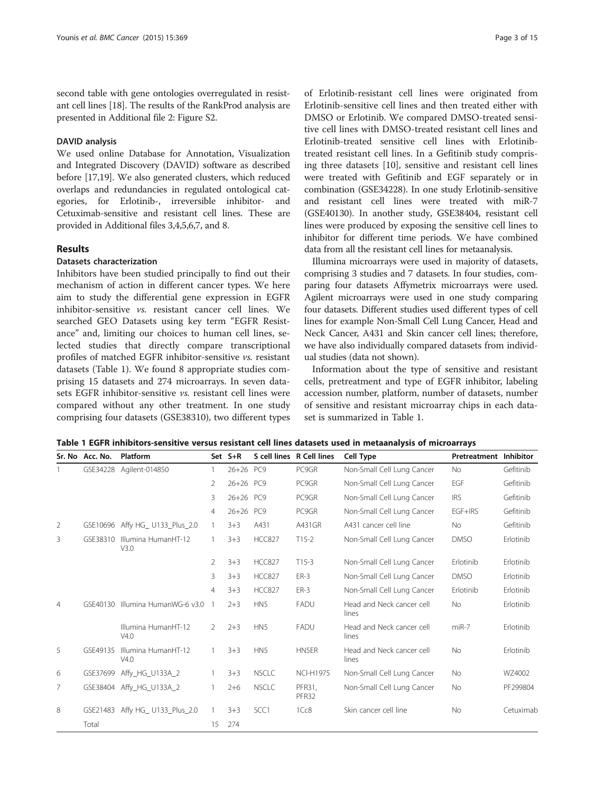second table with gene ontologies overregulated in resistant cell lines [\[18\]](#page-14-0). The results of the RankProd analysis are presented in Additional file [2](#page-13-0): Figure S2.

# DAVID analysis

We used online Database for Annotation, Visualization and Integrated Discovery (DAVID) software as described before [\[17,19](#page-14-0)]. We also generated clusters, which reduced overlaps and redundancies in regulated ontological categories, for Erlotinib-, irreversible inhibitor- and Cetuximab-sensitive and resistant cell lines. These are provided in Additional files [3,4,5,6,7,](#page-13-0) and [8](#page-13-0).

# Results

# Datasets characterization

Inhibitors have been studied principally to find out their mechanism of action in different cancer types. We here aim to study the differential gene expression in EGFR inhibitor-sensitive vs. resistant cancer cell lines. We searched GEO Datasets using key term "EGFR Resistance" and, limiting our choices to human cell lines, selected studies that directly compare transcriptional profiles of matched EGFR inhibitor-sensitive vs. resistant datasets (Table 1). We found 8 appropriate studies comprising 15 datasets and 274 microarrays. In seven datasets EGFR inhibitor-sensitive vs. resistant cell lines were compared without any other treatment. In one study comprising four datasets (GSE38310), two different types

of Erlotinib-resistant cell lines were originated from Erlotinib-sensitive cell lines and then treated either with DMSO or Erlotinib. We compared DMSO-treated sensitive cell lines with DMSO-treated resistant cell lines and Erlotinib-treated sensitive cell lines with Erlotinibtreated resistant cell lines. In a Gefitinib study comprising three datasets [\[10](#page-14-0)], sensitive and resistant cell lines were treated with Gefitinib and EGF separately or in combination (GSE34228). In one study Erlotinib-sensitive and resistant cell lines were treated with miR-7 (GSE40130). In another study, GSE38404, resistant cell lines were produced by exposing the sensitive cell lines to inhibitor for different time periods. We have combined data from all the resistant cell lines for metaanalysis.

Illumina microarrays were used in majority of datasets, comprising 3 studies and 7 datasets. In four studies, comparing four datasets Affymetrix microarrays were used. Agilent microarrays were used in one study comparing four datasets. Different studies used different types of cell lines for example Non-Small Cell Lung Cancer, Head and Neck Cancer, A431 and Skin cancer cell lines; therefore, we have also individually compared datasets from individual studies (data not shown).

Information about the type of sensitive and resistant cells, pretreatment and type of EGFR inhibitor, labeling accession number, platform, number of datasets, number of sensitive and resistant microarray chips in each dataset is summarized in Table 1.

| Table 1 EGFR inhibitors-sensitive versus resistant cell lines datasets used in metaanalysis of microarrays |  |  |  |
|------------------------------------------------------------------------------------------------------------|--|--|--|
|------------------------------------------------------------------------------------------------------------|--|--|--|

|                | Sr. No Acc. No. | Platform                         |                | Set S+R   |                 | S cell lines R Cell lines | <b>Cell Type</b>                   | Pretreatment Inhibitor |           |
|----------------|-----------------|----------------------------------|----------------|-----------|-----------------|---------------------------|------------------------------------|------------------------|-----------|
|                |                 | GSE34228 Agilent-014850          |                | 26+26 PC9 |                 | PC9GR                     | Non-Small Cell Lung Cancer         | <b>No</b>              | Gefitinib |
|                |                 |                                  | 2              | 26+26 PC9 |                 | PC9GR                     | Non-Small Cell Lung Cancer         | EGF                    | Gefitinib |
|                |                 |                                  | 3              | $26 + 26$ | PC <sub>9</sub> | PC9GR                     | Non-Small Cell Lung Cancer         | <b>IRS</b>             | Gefitinib |
|                |                 |                                  | 4              | 26+26 PC9 |                 | PC9GR                     | Non-Small Cell Lung Cancer         | EGF+IRS                | Gefitinib |
| 2              |                 | GSE10696 Affy HG_U133_Plus_2.0   | 1              | $3 + 3$   | A431            | A431GR                    | A431 cancer cell line              | <b>No</b>              | Gefitinib |
| 3              | GSE38310        | Illumina HumanHT-12<br>V3.0      |                | $3 + 3$   | <b>HCC827</b>   | $T15-2$                   | Non-Small Cell Lung Cancer         | <b>DMSO</b>            | Erlotinib |
|                |                 |                                  | $\overline{2}$ | $3 + 3$   | <b>HCC827</b>   | $T15-3$                   | Non-Small Cell Lung Cancer         | Erlotinib              | Erlotinib |
|                |                 |                                  | 3              | $3 + 3$   | <b>HCC827</b>   | $ER-3$                    | Non-Small Cell Lung Cancer         | <b>DMSO</b>            | Erlotinib |
|                |                 |                                  | 4              | $3 + 3$   | <b>HCC827</b>   | $ER-3$                    | Non-Small Cell Lung Cancer         | Erlotinib              | Erlotinib |
| $\overline{4}$ |                 | GSE40130 Illumina HumanWG-6 v3.0 |                | $2 + 3$   | HN <sub>5</sub> | FADU                      | Head and Neck cancer cell<br>lines | <b>No</b>              | Erlotinib |
|                |                 | Illumina HumanHT-12<br>V4.0      | $\mathcal{P}$  | $2 + 3$   | HN <sub>5</sub> | FADU                      | Head and Neck cancer cell<br>lines | $miR-7$                | Erlotinib |
| 5              | GSE49135        | Illumina HumanHT-12<br>V4.0      |                | $3 + 3$   | HN <sub>5</sub> | HN5ER                     | Head and Neck cancer cell<br>lines | <b>No</b>              | Erlotinib |
| 6              | GSE37699        | Affy_HG_U133A_2                  |                | $3 + 3$   | <b>NSCLC</b>    | NCI-H1975                 | Non-Small Cell Lung Cancer         | <b>No</b>              | WZ4002    |
| $\overline{7}$ |                 | GSE38404 Affy HG U133A 2         |                | $2+6$     | <b>NSCLC</b>    | PFR31,<br>PFR32           | Non-Small Cell Lung Cancer         | <b>No</b>              | PF299804  |
| 8              |                 | GSE21483 Affy HG U133 Plus 2.0   |                | $3 + 3$   | SCC1            | 1Cc8                      | Skin cancer cell line              | No.                    | Cetuximab |
|                | Total           |                                  | 15             | 274       |                 |                           |                                    |                        |           |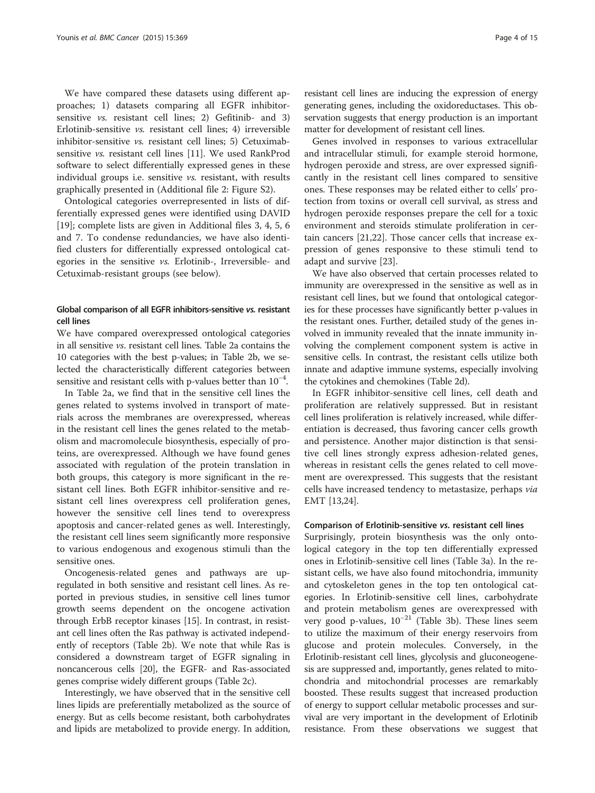We have compared these datasets using different approaches; 1) datasets comparing all EGFR inhibitorsensitive *vs.* resistant cell lines; 2) Gefitinib- and 3) Erlotinib-sensitive vs. resistant cell lines; 4) irreversible inhibitor-sensitive vs. resistant cell lines; 5) Cetuximabsensitive vs. resistant cell lines [[11](#page-14-0)]. We used RankProd software to select differentially expressed genes in these individual groups i.e. sensitive vs. resistant, with results graphically presented in (Additional file [2:](#page-13-0) Figure S2).

Ontological categories overrepresented in lists of differentially expressed genes were identified using DAVID [[19\]](#page-14-0); complete lists are given in Additional files [3, 4](#page-13-0), [5](#page-13-0), [6](#page-13-0) and [7.](#page-13-0) To condense redundancies, we have also identified clusters for differentially expressed ontological categories in the sensitive vs. Erlotinib-, Irreversible- and Cetuximab-resistant groups (see below).

# Global comparison of all EGFR inhibitors-sensitive vs. resistant cell lines

We have compared overexpressed ontological categories in all sensitive vs. resistant cell lines. Table [2](#page-4-0)a contains the 10 categories with the best p-values; in Table [2](#page-4-0)b, we selected the characteristically different categories between sensitive and resistant cells with p-values better than 10<sup>-4</sup>.

In Table [2](#page-4-0)a, we find that in the sensitive cell lines the genes related to systems involved in transport of materials across the membranes are overexpressed, whereas in the resistant cell lines the genes related to the metabolism and macromolecule biosynthesis, especially of proteins, are overexpressed. Although we have found genes associated with regulation of the protein translation in both groups, this category is more significant in the resistant cell lines. Both EGFR inhibitor-sensitive and resistant cell lines overexpress cell proliferation genes, however the sensitive cell lines tend to overexpress apoptosis and cancer-related genes as well. Interestingly, the resistant cell lines seem significantly more responsive to various endogenous and exogenous stimuli than the sensitive ones.

Oncogenesis-related genes and pathways are upregulated in both sensitive and resistant cell lines. As reported in previous studies, in sensitive cell lines tumor growth seems dependent on the oncogene activation through ErbB receptor kinases [\[15\]](#page-14-0). In contrast, in resistant cell lines often the Ras pathway is activated independently of receptors (Table [2b](#page-4-0)). We note that while Ras is considered a downstream target of EGFR signaling in noncancerous cells [\[20\]](#page-14-0), the EGFR- and Ras-associated genes comprise widely different groups (Table [2c](#page-4-0)).

Interestingly, we have observed that in the sensitive cell lines lipids are preferentially metabolized as the source of energy. But as cells become resistant, both carbohydrates and lipids are metabolized to provide energy. In addition,

resistant cell lines are inducing the expression of energy generating genes, including the oxidoreductases. This observation suggests that energy production is an important matter for development of resistant cell lines.

Genes involved in responses to various extracellular and intracellular stimuli, for example steroid hormone, hydrogen peroxide and stress, are over expressed significantly in the resistant cell lines compared to sensitive ones. These responses may be related either to cells' protection from toxins or overall cell survival, as stress and hydrogen peroxide responses prepare the cell for a toxic environment and steroids stimulate proliferation in certain cancers [\[21,22](#page-14-0)]. Those cancer cells that increase expression of genes responsive to these stimuli tend to adapt and survive [\[23\]](#page-14-0).

We have also observed that certain processes related to immunity are overexpressed in the sensitive as well as in resistant cell lines, but we found that ontological categories for these processes have significantly better p-values in the resistant ones. Further, detailed study of the genes involved in immunity revealed that the innate immunity involving the complement component system is active in sensitive cells. In contrast, the resistant cells utilize both innate and adaptive immune systems, especially involving the cytokines and chemokines (Table [2](#page-4-0)d).

In EGFR inhibitor-sensitive cell lines, cell death and proliferation are relatively suppressed. But in resistant cell lines proliferation is relatively increased, while differentiation is decreased, thus favoring cancer cells growth and persistence. Another major distinction is that sensitive cell lines strongly express adhesion-related genes, whereas in resistant cells the genes related to cell movement are overexpressed. This suggests that the resistant cells have increased tendency to metastasize, perhaps via EMT [\[13,24\]](#page-14-0).

# Comparison of Erlotinib-sensitive vs. resistant cell lines

Surprisingly, protein biosynthesis was the only ontological category in the top ten differentially expressed ones in Erlotinib-sensitive cell lines (Table [3](#page-8-0)a). In the resistant cells, we have also found mitochondria, immunity and cytoskeleton genes in the top ten ontological categories. In Erlotinib-sensitive cell lines, carbohydrate and protein metabolism genes are overexpressed with very good p-values, 10−<sup>21</sup> (Table [3](#page-8-0)b). These lines seem to utilize the maximum of their energy reservoirs from glucose and protein molecules. Conversely, in the Erlotinib-resistant cell lines, glycolysis and gluconeogenesis are suppressed and, importantly, genes related to mitochondria and mitochondrial processes are remarkably boosted. These results suggest that increased production of energy to support cellular metabolic processes and survival are very important in the development of Erlotinib resistance. From these observations we suggest that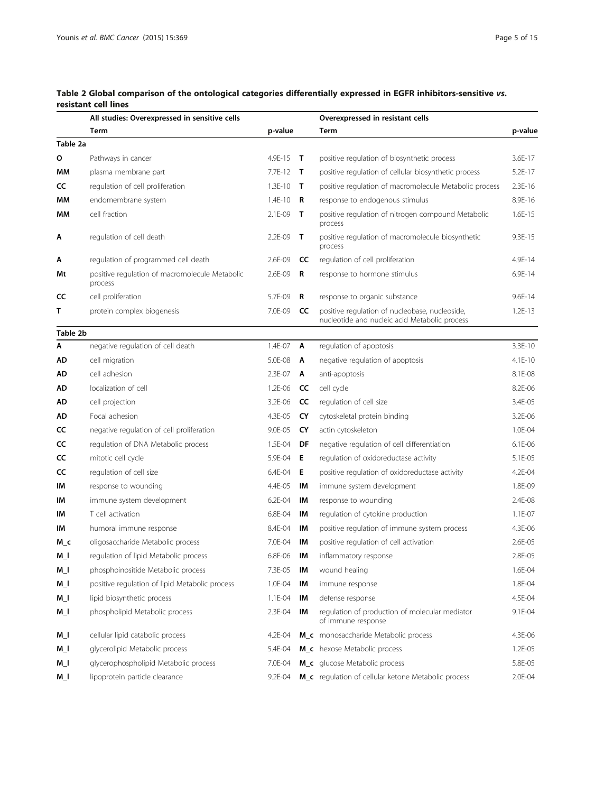|          | All studies: Overexpressed in sensitive cells             |             |              | Overexpressed in resistant cells                                                                |             |
|----------|-----------------------------------------------------------|-------------|--------------|-------------------------------------------------------------------------------------------------|-------------|
|          | Term                                                      | p-value     |              | Term                                                                                            | p-value     |
| Table 2a |                                                           |             |              |                                                                                                 |             |
| o        | Pathways in cancer                                        | 4.9E-15     | $\mathsf{T}$ | positive regulation of biosynthetic process                                                     | 3.6E-17     |
| ΜМ       | plasma membrane part                                      | $7.7E-12$   | $\mathsf{T}$ | positive regulation of cellular biosynthetic process                                            | $5.2E-17$   |
| cc       | regulation of cell proliferation                          | $1.3E-10$   | $\mathbf{T}$ | positive regulation of macromolecule Metabolic process                                          | $2.3E-16$   |
| ΜМ       | endomembrane system                                       | $1.4E-10$   | R            | response to endogenous stimulus                                                                 | 8.9E-16     |
| ΜМ       | cell fraction                                             | 2.1E-09     | $\mathbf{T}$ | positive regulation of nitrogen compound Metabolic<br>process                                   | $1.6E-15$   |
| Α        | regulation of cell death                                  | 2.2E-09     | $\mathbf{T}$ | positive regulation of macromolecule biosynthetic<br>process                                    | 9.3E-15     |
| Α        | regulation of programmed cell death                       | 2.6E-09     | cc           | regulation of cell proliferation                                                                | 4.9E-14     |
| Mt       | positive regulation of macromolecule Metabolic<br>process | 2.6E-09     | R            | response to hormone stimulus                                                                    | 6.9E-14     |
| cc       | cell proliferation                                        | 5.7E-09     | R            | response to organic substance                                                                   | $9.6E - 14$ |
| т        | protein complex biogenesis                                | 7.0E-09     | CC           | positive regulation of nucleobase, nucleoside,<br>nucleotide and nucleic acid Metabolic process | $1.2E-13$   |
| Table 2b |                                                           |             |              |                                                                                                 |             |
| Α        | negative regulation of cell death                         | 1.4E-07     | Α            | regulation of apoptosis                                                                         | $3.3E-10$   |
| AD       | cell migration                                            | 5.0E-08     | A            | negative regulation of apoptosis                                                                | $4.1E-10$   |
| AD       | cell adhesion                                             | 2.3E-07     | A            | anti-apoptosis                                                                                  | 8.1E-08     |
| AD       | localization of cell                                      | 1.2E-06     | cc           | cell cycle                                                                                      | 8.2E-06     |
| AD       | cell projection                                           | 3.2E-06     | CC           | regulation of cell size                                                                         | 3.4E-05     |
| AD       | Focal adhesion                                            | 4.3E-05     | CY           | cytoskeletal protein binding                                                                    | 3.2E-06     |
| cc       | negative regulation of cell proliferation                 | 9.0E-05     | CY           | actin cytoskeleton                                                                              | 1.0E-04     |
| cc       | regulation of DNA Metabolic process                       | 1.5E-04     | DF           | negative regulation of cell differentiation                                                     | $6.1E - 06$ |
| cc       | mitotic cell cycle                                        | 5.9E-04     | Е            | regulation of oxidoreductase activity                                                           | 5.1E-05     |
| cc       | regulation of cell size                                   | 6.4E-04     | Е            | positive regulation of oxidoreductase activity                                                  | 4.2E-04     |
| ΙM       | response to wounding                                      | 4.4E-05     | IM           | immune system development                                                                       | 1.8E-09     |
| ΙM       | immune system development                                 | $6.2E - 04$ | IM           | response to wounding                                                                            | 2.4E-08     |
| IМ       | T cell activation                                         | 6.8E-04     | IM           | regulation of cytokine production                                                               | 1.1E-07     |
| ΙM       | humoral immune response                                   | 8.4E-04     | IM           | positive regulation of immune system process                                                    | 4.3E-06     |
| M_c      | oligosaccharide Metabolic process                         | 7.0E-04     | IM           | positive regulation of cell activation                                                          | 2.6E-05     |
| M_I      | regulation of lipid Metabolic process                     | 6.8E-06     | IM           | inflammatory response                                                                           | 2.8E-05     |
| $M_l$    | phosphoinositide Metabolic process                        | 7.3E-05     | IM           | wound healing                                                                                   | 1.6E-04     |
| $M_l$    | positive regulation of lipid Metabolic process            | 1.0E-04     | ΙM           | immune response                                                                                 | 1.8E-04     |
| $M_l$    | lipid biosynthetic process                                | $1.1E - 04$ | IM           | defense response                                                                                | 4.5E-04     |
| $M_l$    | phospholipid Metabolic process                            | 2.3E-04     | IM           | regulation of production of molecular mediator<br>of immune response                            | 9.1E-04     |
| $M_l$    | cellular lipid catabolic process                          | 4.2E-04     |              | M_c monosaccharide Metabolic process                                                            | 4.3E-06     |
| $M_l$    | glycerolipid Metabolic process                            | 5.4E-04     |              | M_c hexose Metabolic process                                                                    | 1.2E-05     |
| $M_l$    | glycerophospholipid Metabolic process                     | 7.0E-04     |              | M_c glucose Metabolic process                                                                   | 5.8E-05     |
| $M_l$    | lipoprotein particle clearance                            | 9.2E-04     |              | M_c regulation of cellular ketone Metabolic process                                             | 2.0E-04     |

# <span id="page-4-0"></span>Table 2 Global comparison of the ontological categories differentially expressed in EGFR inhibitors-sensitive vs. resistant cell lines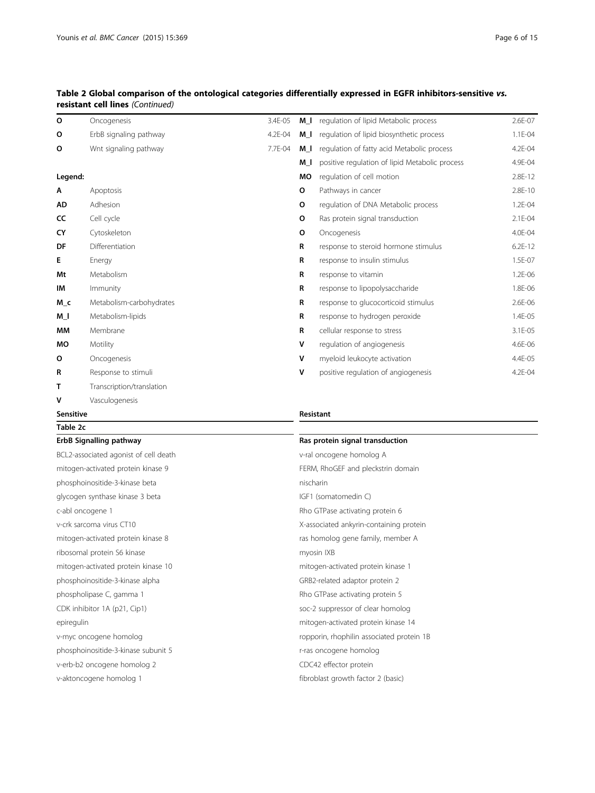# O Oncogenesis 3.4E-05 M\_l regulation of lipid Metabolic process 2.6E-07 O ErbB signaling pathway  $4.2E-04$  M\_l regulation of lipid biosynthetic process 1.1E-04 O Wnt signaling pathway 1.2E-04 M L regulation of fatty acid Metabolic process 4.2E-04 M L M\_l positive regulation of lipid Metabolic process 4.9E-04 **Legend:** 2.8E-12 **A** Apoptosis 2.8E-10 AD Adhesion **COMP Adhesion** Adhesion **O** regulation of DNA Metabolic process 1.2E-04 CC Cell cycle Cell and Cell cycle Cell Cycle Cell Cycle Cell Cycle Cell Cycle Cell Cycle 2.1E-04 CY Cytoskeleton O Oncogenesis 4.0E-04 DF Differentiation R response to steroid hormone stimulus 6.2E-12 **E** Energy **Energy Energy R** response to insulin stimulus 1.5E-07 Mt Metabolism 1.2E-06 IM Immunity R response to lipopolysaccharide 1.8E-06 M\_c Metabolism-carbohydrates R response to glucocorticoid stimulus 2.6E-06 M\_l Metabolism-lipids R response to hydrogen peroxide 1.4E-05 **MM** Membrane **R** cellular response to stress 3.1E-05 MO Motility V regulation of angiogenesis 4.6E-06 O Oncogenesis V myeloid leukocyte activation 4.4E-05 **R** Response to stimuli **R** Response to stimuli **R** Response to stimuli **V** positive regulation of angiogenesis 4.2E-04 T Transcription/translation **V** Vasculogenesis Sensitive **Resistant**

# Table 2 Global comparison of the ontological categories differentially expressed in EGFR inhibitors-sensitive vs. resistant cell lines (Continued)

# Table 2c

# ErbB Signalling pathway Ras protein signal transduction

BCL2-associated agonist of cell death v-ral oncogene homolog A mitogen-activated protein kinase 9 FERM, RhoGEF and pleckstrin domain phosphoinositide-3-kinase beta nischarin nischarin glycogen synthase kinase 3 beta IGF1 (somatomedin C) c-abl oncogene 1 and the contract of the Rho GTPase activating protein 6 mitogen-activated protein kinase 8 ras homolog gene family, member A ribosomal protein S6 kinase myosin IXB mitogen-activated protein kinase 10 mitogen-activated protein kinase 1 phosphoinositide-3-kinase alpha GRB2-related adaptor protein 2 phospholipase C, gamma 1 and a Rho GTPase activating protein 5 CDK inhibitor 1A (p21, Cip1) soc-2 suppressor of clear homolog epiregulin mitogen-activated protein kinase 14 phosphoinositide-3-kinase subunit 5 contained the subset of the subset of the subset of the subset of the subset of the subset of the subset of the subset of the subset of the subset of the subset of the subset of the subs v-erb-b2 oncogene homolog 2 contract to the CDC42 effector protein

# v-crk sarcoma virus CT10  $\alpha$  X-associated ankyrin-containing protein v-myc oncogene homolog ropporin, rhophilin associated protein 1B v-aktoncogene homolog 1 and 1 fibroblast growth factor 2 (basic)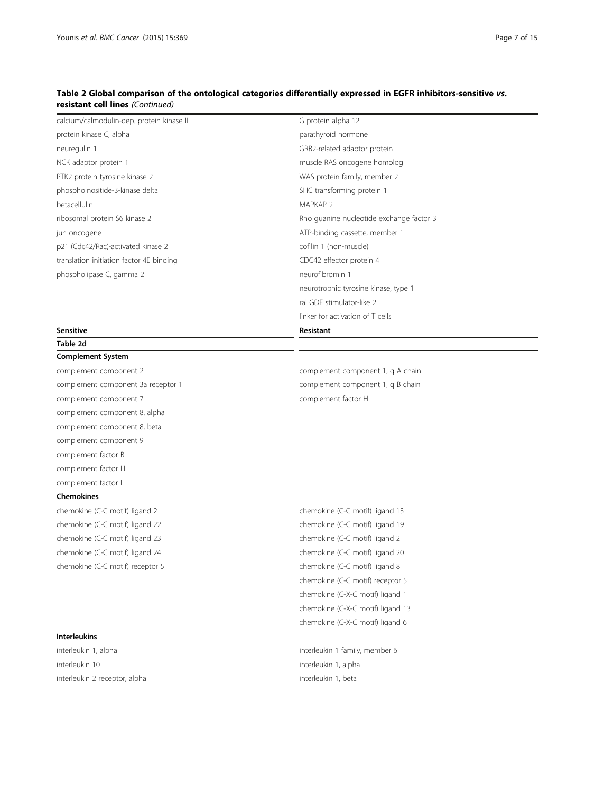# Table 2 Global comparison of the ontological categories differentially expressed in EGFR inhibitors-sensitive vs. resistant cell lines (Continued)

| calcium/calmodulin-dep. protein kinase II | G protein alpha 12                       |
|-------------------------------------------|------------------------------------------|
| protein kinase C, alpha                   | parathyroid hormone                      |
| neuregulin 1                              | GRB2-related adaptor protein             |
| NCK adaptor protein 1                     | muscle RAS oncogene homolog              |
| PTK2 protein tyrosine kinase 2            | WAS protein family, member 2             |
| phosphoinositide-3-kinase delta           | SHC transforming protein 1               |
| betacellulin                              | MAPKAP 2                                 |
| ribosomal protein S6 kinase 2             | Rho quanine nucleotide exchange factor 3 |
| jun oncogene                              | ATP-binding cassette, member 1           |
| p21 (Cdc42/Rac)-activated kinase 2        | cofilin 1 (non-muscle)                   |
| translation initiation factor 4E binding  | CDC42 effector protein 4                 |
| phospholipase C, gamma 2                  | neurofibromin 1                          |
|                                           | neurotrophic tyrosine kinase, type 1     |
|                                           | ral GDF stimulator-like 2                |

# Sensitive **Resistant** Table 2d

# Complement System complement component 2 complement component 1, q A chain complement component 3a receptor 1 complement component 1, q B chain complement component 7 complement factor H complement component 8, alpha complement component 8, beta complement component 9 complement factor B complement factor H complement factor I

# Chemokines

chemokine (C-C motif) ligand 2 chemokine (C-C motif) ligand 13 chemokine (C-C motif) ligand 22 chemokine (C-C motif) ligand 19 chemokine (C-C motif) ligand 23 chemokine (C-C motif) ligand 2 chemokine (C-C motif) ligand 24 chemokine (C-C motif) ligand 20 chemokine (C-C motif) receptor 5 chemokine (C-C motif) ligand 8

# Interleukins

interleukin 1, alpha interleukin 1 family, member 6 interleukin 10 interleukin 1, alpha interleukin 2 receptor, alpha interleukin 1, beta

linker for activation of T cells

chemokine (C-C motif) receptor 5 chemokine (C-X-C motif) ligand 1 chemokine (C-X-C motif) ligand 13 chemokine (C-X-C motif) ligand 6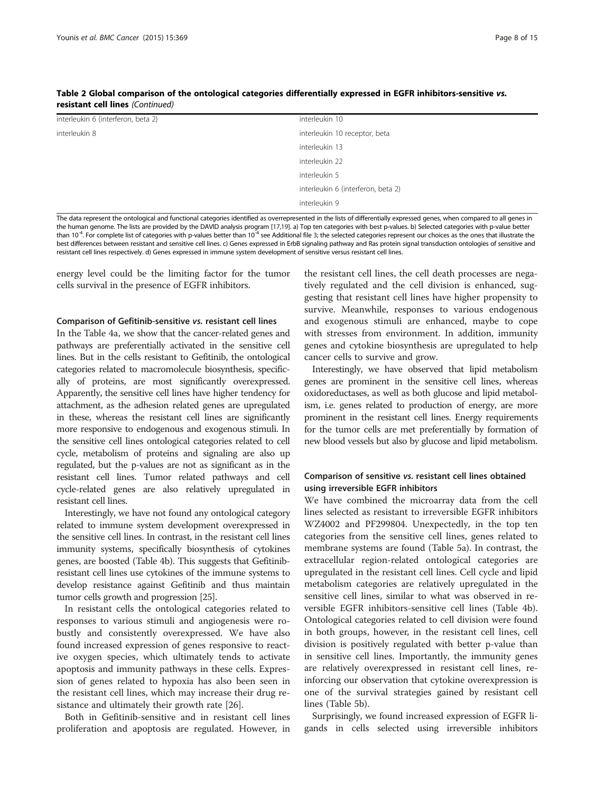| interleukin 6 (interferon, beta 2) | interleukin 10                     |  |
|------------------------------------|------------------------------------|--|
| interleukin 8                      | interleukin 10 receptor, beta      |  |
|                                    | interleukin 13                     |  |
|                                    | interleukin 22                     |  |
|                                    | interleukin 5                      |  |
|                                    | interleukin 6 (interferon, beta 2) |  |
|                                    | interleukin 9                      |  |

Table 2 Global comparison of the ontological categories differentially expressed in EGFR inhibitors-sensitive vs. resistant cell lines (Continued)

The data represent the ontological and functional categories identified as overrepresented in the lists of differentially expressed genes, when compared to all genes in the human genome. The lists are provided by the DAVID analysis program [\[17,19](#page-14-0)]. a) Top ten categories with best p-values. b) Selected categories with p-value better than 10 $4$ . For complete list of categories with p-values better than 10 $4$  see Additional file [3](#page-13-0); the selected categories represent our choices as the ones that illustrate the best differences between resistant and sensitive cell lines. c) Genes expressed in ErbB signaling pathway and Ras protein signal transduction ontologies of sensitive and resistant cell lines respectively. d) Genes expressed in immune system development of sensitive versus resistant cell lines.

energy level could be the limiting factor for the tumor cells survival in the presence of EGFR inhibitors.

# Comparison of Gefitinib-sensitive vs. resistant cell lines

In the Table [4a](#page-9-0), we show that the cancer-related genes and pathways are preferentially activated in the sensitive cell lines. But in the cells resistant to Gefitinib, the ontological categories related to macromolecule biosynthesis, specifically of proteins, are most significantly overexpressed. Apparently, the sensitive cell lines have higher tendency for attachment, as the adhesion related genes are upregulated in these, whereas the resistant cell lines are significantly more responsive to endogenous and exogenous stimuli. In the sensitive cell lines ontological categories related to cell cycle, metabolism of proteins and signaling are also up regulated, but the p-values are not as significant as in the resistant cell lines. Tumor related pathways and cell cycle-related genes are also relatively upregulated in resistant cell lines.

Interestingly, we have not found any ontological category related to immune system development overexpressed in the sensitive cell lines. In contrast, in the resistant cell lines immunity systems, specifically biosynthesis of cytokines genes, are boosted (Table [4b](#page-9-0)). This suggests that Gefitinibresistant cell lines use cytokines of the immune systems to develop resistance against Gefitinib and thus maintain tumor cells growth and progression [\[25](#page-14-0)].

In resistant cells the ontological categories related to responses to various stimuli and angiogenesis were robustly and consistently overexpressed. We have also found increased expression of genes responsive to reactive oxygen species, which ultimately tends to activate apoptosis and immunity pathways in these cells. Expression of genes related to hypoxia has also been seen in the resistant cell lines, which may increase their drug resistance and ultimately their growth rate [[26\]](#page-14-0).

Both in Gefitinib-sensitive and in resistant cell lines proliferation and apoptosis are regulated. However, in the resistant cell lines, the cell death processes are negatively regulated and the cell division is enhanced, suggesting that resistant cell lines have higher propensity to survive. Meanwhile, responses to various endogenous and exogenous stimuli are enhanced, maybe to cope with stresses from environment. In addition, immunity genes and cytokine biosynthesis are upregulated to help cancer cells to survive and grow.

Interestingly, we have observed that lipid metabolism genes are prominent in the sensitive cell lines, whereas oxidoreductases, as well as both glucose and lipid metabolism, i.e. genes related to production of energy, are more prominent in the resistant cell lines. Energy requirements for the tumor cells are met preferentially by formation of new blood vessels but also by glucose and lipid metabolism.

# Comparison of sensitive vs. resistant cell lines obtained using irreversible EGFR inhibitors

We have combined the microarray data from the cell lines selected as resistant to irreversible EGFR inhibitors WZ4002 and PF299804. Unexpectedly, in the top ten categories from the sensitive cell lines, genes related to membrane systems are found (Table [5](#page-10-0)a). In contrast, the extracellular region-related ontological categories are upregulated in the resistant cell lines. Cell cycle and lipid metabolism categories are relatively upregulated in the sensitive cell lines, similar to what was observed in reversible EGFR inhibitors-sensitive cell lines (Table [4](#page-9-0)b). Ontological categories related to cell division were found in both groups, however, in the resistant cell lines, cell division is positively regulated with better p-value than in sensitive cell lines. Importantly, the immunity genes are relatively overexpressed in resistant cell lines, reinforcing our observation that cytokine overexpression is one of the survival strategies gained by resistant cell lines (Table [5b](#page-10-0)).

Surprisingly, we found increased expression of EGFR ligands in cells selected using irreversible inhibitors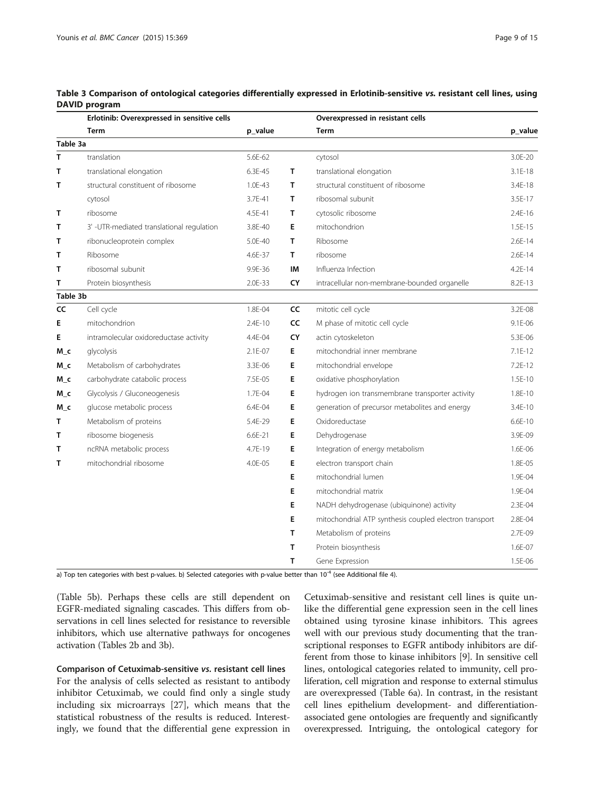|              | Erlotinib: Overexpressed in sensitive cells |         |    | Overexpressed in resistant cells                       |             |
|--------------|---------------------------------------------|---------|----|--------------------------------------------------------|-------------|
|              | <b>Term</b>                                 | p_value |    | Term                                                   | p_value     |
| Table 3a     |                                             |         |    |                                                        |             |
| T            | translation                                 | 5.6E-62 |    | cytosol                                                | 3.0E-20     |
| T            | translational elongation                    | 6.3E-45 | T  | translational elongation                               | $3.1E-18$   |
| Т            | structural constituent of ribosome          | 1.0E-43 | T  | structural constituent of ribosome                     | $3.4F - 18$ |
|              | cytosol                                     | 3.7E-41 | T. | ribosomal subunit                                      | 3.5E-17     |
| $\mathsf{T}$ | ribosome                                    | 4.5E-41 | T. | cytosolic ribosome                                     | $2.4E-16$   |
| т            | 3' -UTR-mediated translational regulation   | 3.8E-40 | E  | mitochondrion                                          | $1.5E-15$   |
| т            | ribonucleoprotein complex                   | 5.0E-40 | T  | Ribosome                                               | $2.6E-14$   |
| $\mathsf{T}$ | Ribosome                                    | 4.6E-37 | T. | ribosome                                               | $2.6E-14$   |
| T            | ribosomal subunit                           | 9.9E-36 | IM | Influenza Infection                                    | $4.2E - 14$ |
| T            | Protein biosynthesis                        | 2.0E-33 | CY | intracellular non-membrane-bounded organelle           | $8.2E-13$   |
| Table 3b     |                                             |         |    |                                                        |             |
| CC           | Cell cycle                                  | 1.8E-04 | CC | mitotic cell cycle                                     | 3.2E-08     |
| Е            | mitochondrion                               | 2.4E-10 | CC | M phase of mitotic cell cycle                          | $9.1F - 06$ |
| E            | intramolecular oxidoreductase activity      | 4.4E-04 | CY | actin cytoskeleton                                     | 5.3E-06     |
| M_c          | glycolysis                                  | 2.1E-07 | E. | mitochondrial inner membrane                           | $7.1E-12$   |
| M_c          | Metabolism of carbohydrates                 | 3.3E-06 | Е  | mitochondrial envelope                                 | $7.2E-12$   |
| M_c          | carbohydrate catabolic process              | 7.5E-05 | E  | oxidative phosphorylation                              | $1.5E-10$   |
| M_c          | Glycolysis / Gluconeogenesis                | 1.7E-04 | Е  | hydrogen ion transmembrane transporter activity        | 1.8E-10     |
| M_c          | glucose metabolic process                   | 6.4E-04 | E  | generation of precursor metabolites and energy         | 3.4E-10     |
| T            | Metabolism of proteins                      | 5.4E-29 | E  | Oxidoreductase                                         | $6.6E-10$   |
| $\mathsf{T}$ | ribosome biogenesis                         | 6.6E-21 | Е  | Dehydrogenase                                          | 3.9E-09     |
| T            | ncRNA metabolic process                     | 4.7E-19 | E  | Integration of energy metabolism                       | $1.6F - 06$ |
| Т            | mitochondrial ribosome                      | 4.0E-05 | E  | electron transport chain                               | 1.8E-05     |
|              |                                             |         | E  | mitochondrial lumen                                    | 1.9E-04     |
|              |                                             |         | E  | mitochondrial matrix                                   | 1.9E-04     |
|              |                                             |         | E  | NADH dehydrogenase (ubiquinone) activity               | 2.3E-04     |
|              |                                             |         | E  | mitochondrial ATP synthesis coupled electron transport | 2.8E-04     |
|              |                                             |         | т  | Metabolism of proteins                                 | 2.7E-09     |
|              |                                             |         | т  | Protein biosynthesis                                   | $1.6F - 07$ |
|              |                                             |         | т  | Gene Expression                                        | 1.5E-06     |

<span id="page-8-0"></span>Table 3 Comparison of ontological categories differentially expressed in Erlotinib-sensitive vs. resistant cell lines, using DAVID program

a) Top ten categories with best p-values. b) Selected categories with p-value better than 10<sup>-[4](#page-13-0)</sup> (see Additional file 4).

(Table [5](#page-10-0)b). Perhaps these cells are still dependent on EGFR-mediated signaling cascades. This differs from observations in cell lines selected for resistance to reversible inhibitors, which use alternative pathways for oncogenes activation (Tables [2](#page-4-0)b and 3b).

# Comparison of Cetuximab-sensitive vs. resistant cell lines

For the analysis of cells selected as resistant to antibody inhibitor Cetuximab, we could find only a single study including six microarrays [[27\]](#page-14-0), which means that the statistical robustness of the results is reduced. Interestingly, we found that the differential gene expression in

Cetuximab-sensitive and resistant cell lines is quite unlike the differential gene expression seen in the cell lines obtained using tyrosine kinase inhibitors. This agrees well with our previous study documenting that the transcriptional responses to EGFR antibody inhibitors are different from those to kinase inhibitors [[9\]](#page-14-0). In sensitive cell lines, ontological categories related to immunity, cell proliferation, cell migration and response to external stimulus are overexpressed (Table [6a](#page-12-0)). In contrast, in the resistant cell lines epithelium development- and differentiationassociated gene ontologies are frequently and significantly overexpressed. Intriguing, the ontological category for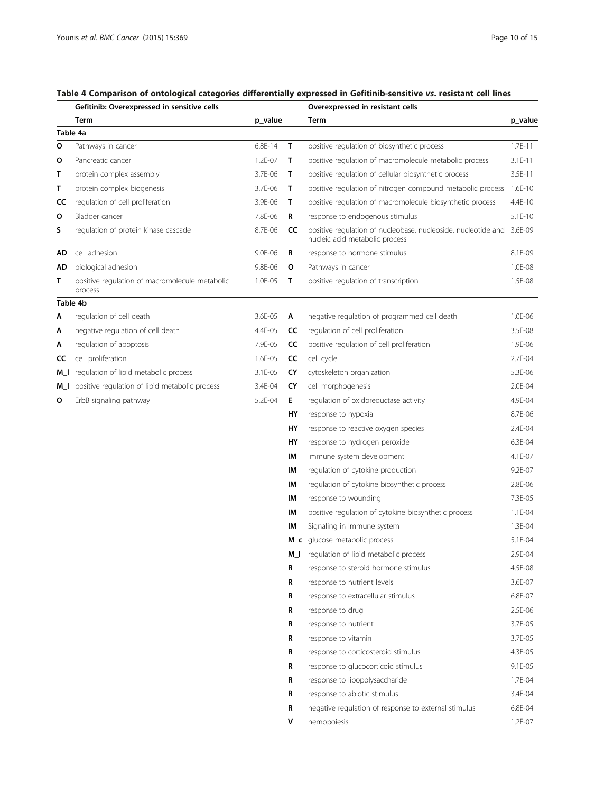<span id="page-9-0"></span>

| Table 4 Comparison of ontological categories differentially expressed in Gefitinib-sensitive vs. resistant cell lines |  |  |  |  |  |  |
|-----------------------------------------------------------------------------------------------------------------------|--|--|--|--|--|--|
|-----------------------------------------------------------------------------------------------------------------------|--|--|--|--|--|--|

|     | Gefitinib: Overexpressed in sensitive cells               |         |    | Overexpressed in resistant cells                                                                        |             |
|-----|-----------------------------------------------------------|---------|----|---------------------------------------------------------------------------------------------------------|-------------|
|     | Term                                                      | p_value |    | Term                                                                                                    | p_value     |
|     | Table 4a                                                  |         |    |                                                                                                         |             |
| o   | Pathways in cancer                                        | 6.8E-14 | т  | positive regulation of biosynthetic process                                                             | $1.7E-11$   |
| o   | Pancreatic cancer                                         | 1.2E-07 | т  | positive regulation of macromolecule metabolic process                                                  | $3.1E-11$   |
| т   | protein complex assembly                                  | 3.7E-06 | Т  | positive regulation of cellular biosynthetic process                                                    | 3.5E-11     |
| т   | protein complex biogenesis                                | 3.7E-06 | т  | positive regulation of nitrogen compound metabolic process                                              | 1.6E-10     |
| cc  | regulation of cell proliferation                          | 3.9E-06 | т  | positive regulation of macromolecule biosynthetic process                                               | 4.4E-10     |
| o   | Bladder cancer                                            | 7.8E-06 | R  | response to endogenous stimulus                                                                         | $5.1E-10$   |
| s   | regulation of protein kinase cascade                      | 8.7E-06 | CC | positive regulation of nucleobase, nucleoside, nucleotide and 3.6E-09<br>nucleic acid metabolic process |             |
| AD  | cell adhesion                                             | 9.0E-06 | R  | response to hormone stimulus                                                                            | 8.1E-09     |
| AD  | biological adhesion                                       | 9.8E-06 | o  | Pathways in cancer                                                                                      | 1.0E-08     |
| т   | positive regulation of macromolecule metabolic<br>process | 1.0E-05 | Т  | positive regulation of transcription                                                                    | 1.5E-08     |
|     | Table 4b                                                  |         |    |                                                                                                         |             |
| Α   | regulation of cell death                                  | 3.6E-05 | Α  | negative regulation of programmed cell death                                                            | 1.0E-06     |
| Α   | negative regulation of cell death                         | 4.4E-05 | CC | regulation of cell proliferation                                                                        | 3.5E-08     |
| Α   | regulation of apoptosis                                   | 7.9E-05 | CC | positive regulation of cell proliferation                                                               | 1.9E-06     |
| cc  | cell proliferation                                        | 1.6E-05 | cc | cell cycle                                                                                              | 2.7E-04     |
| M_I | regulation of lipid metabolic process                     | 3.1E-05 | CY | cytoskeleton organization                                                                               | 5.3E-06     |
| M_I | positive regulation of lipid metabolic process            | 3.4E-04 | CY | cell morphogenesis                                                                                      | 2.0E-04     |
| o   | ErbB signaling pathway                                    | 5.2E-04 | Е  | regulation of oxidoreductase activity                                                                   | 4.9E-04     |
|     |                                                           |         | HY | response to hypoxia                                                                                     | 8.7E-06     |
|     |                                                           |         | HY | response to reactive oxygen species                                                                     | 2.4E-04     |
|     |                                                           |         | HY | response to hydrogen peroxide                                                                           | 6.3E-04     |
|     |                                                           |         | ΙM | immune system development                                                                               | 4.1E-07     |
|     |                                                           |         | ΙM | regulation of cytokine production                                                                       | $9.2E - 07$ |
|     |                                                           |         | ΙM | regulation of cytokine biosynthetic process                                                             | 2.8E-06     |
|     |                                                           |         | ΙM | response to wounding                                                                                    | 7.3E-05     |
|     |                                                           |         | ΙM | positive regulation of cytokine biosynthetic process                                                    | 1.1E-04     |
|     |                                                           |         | ΙM | Signaling in Immune system                                                                              | 1.3E-04     |
|     |                                                           |         |    | M_c glucose metabolic process                                                                           | 5.1E-04     |
|     |                                                           |         | мı | regulation of lipid metabolic process                                                                   | 2.9E-04     |
|     |                                                           |         | R  | response to steroid hormone stimulus                                                                    | 4.5E-08     |
|     |                                                           |         | R  | response to nutrient levels                                                                             | 3.6E-07     |
|     |                                                           |         | R  | response to extracellular stimulus                                                                      | 6.8E-07     |
|     |                                                           |         | R  | response to drug                                                                                        | 2.5E-06     |
|     |                                                           |         | R  | response to nutrient                                                                                    | 3.7E-05     |
|     |                                                           |         | R  | response to vitamin                                                                                     | 3.7E-05     |
|     |                                                           |         | R  | response to corticosteroid stimulus                                                                     | 4.3E-05     |
|     |                                                           |         | R  | response to glucocorticoid stimulus                                                                     | $9.1E - 05$ |
|     |                                                           |         | R  | response to lipopolysaccharide                                                                          | 1.7E-04     |
|     |                                                           |         | R  | response to abiotic stimulus                                                                            | 3.4E-04     |
|     |                                                           |         | R  | negative regulation of response to external stimulus                                                    | 6.8E-04     |
|     |                                                           |         | ٧  | hemopoiesis                                                                                             | 1.2E-07     |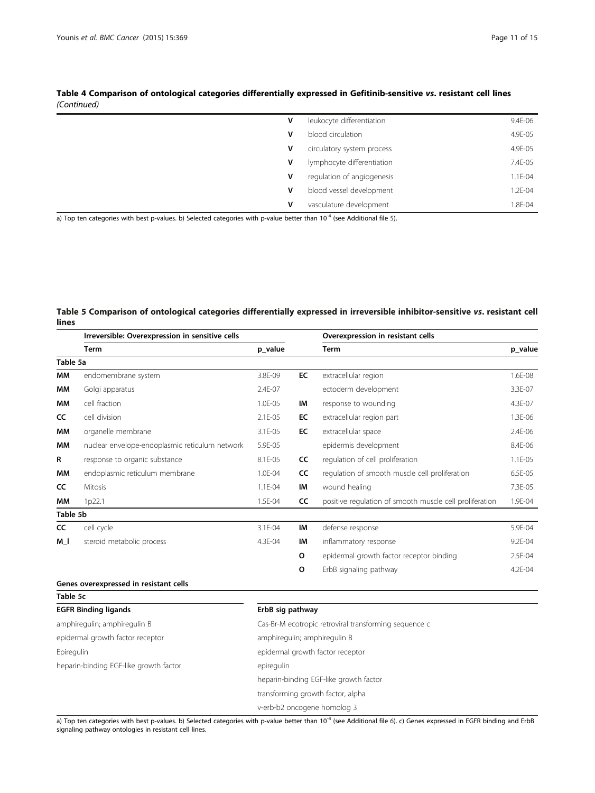| v | leukocyte differentiation  | 9.4E-06     |
|---|----------------------------|-------------|
| v | blood circulation          | 4.9E-05     |
| v | circulatory system process | 4.9E-05     |
| v | lymphocyte differentiation | 7.4E-05     |
| ٧ | regulation of angiogenesis | 1.1E-04     |
| v | blood vessel development   | $1.2E - 04$ |
| v | vasculature development    | 1.8E-04     |
|   |                            |             |

# <span id="page-10-0"></span>Table 4 Comparison of ontological categories differentially expressed in Gefitinib-sensitive vs. resistant cell lines (Continued)

a) Top ten categories with best p-values. b) Selected categories with p-value better than  $10^{-4}$  (see Additional file [5](#page-13-0)).

# Table 5 Comparison of ontological categories differentially expressed in irreversible inhibitor-sensitive vs. resistant cell lines

|            | Irreversible: Overexpression in sensitive cells |                                                       |    | Overexpression in resistant cells                       |         |  |  |  |
|------------|-------------------------------------------------|-------------------------------------------------------|----|---------------------------------------------------------|---------|--|--|--|
|            | <b>Term</b>                                     | p_value                                               |    | <b>Term</b>                                             | p_value |  |  |  |
| Table 5a   |                                                 |                                                       |    |                                                         |         |  |  |  |
| MМ         | endomembrane system                             | 3.8E-09                                               | EC | extracellular region                                    | 1.6E-08 |  |  |  |
| MМ         | Golgi apparatus                                 | 2.4E-07                                               |    | ectoderm development                                    | 3.3E-07 |  |  |  |
| MМ         | cell fraction                                   | 1.0E-05                                               | IM | response to wounding                                    | 4.3E-07 |  |  |  |
| cc         | cell division                                   | 2.1E-05                                               | EC | extracellular region part                               | 1.3E-06 |  |  |  |
| MМ         | organelle membrane                              | 3.1E-05                                               | EC | extracellular space                                     | 2.4E-06 |  |  |  |
| MМ         | nuclear envelope-endoplasmic reticulum network  | 5.9E-05                                               |    | epidermis development                                   | 8.4E-06 |  |  |  |
| R          | response to organic substance                   | 8.1E-05                                               | cc | regulation of cell proliferation                        | 1.1E-05 |  |  |  |
| MМ         | endoplasmic reticulum membrane                  | 1.0E-04                                               | cc | regulation of smooth muscle cell proliferation          | 6.5E-05 |  |  |  |
| cc         | <b>Mitosis</b>                                  | $1.1E - 04$                                           | IM | wound healing                                           | 7.3E-05 |  |  |  |
| <b>MM</b>  | 1p22.1                                          | 1.5E-04                                               | CC | positive regulation of smooth muscle cell proliferation | 1.9E-04 |  |  |  |
| Table 5b   |                                                 |                                                       |    |                                                         |         |  |  |  |
| CC         | cell cycle                                      | 3.1E-04                                               | IM | defense response                                        | 5.9E-04 |  |  |  |
| M I        | steroid metabolic process                       | 4.3E-04                                               | IM | inflammatory response                                   | 9.2E-04 |  |  |  |
|            |                                                 |                                                       | o  | epidermal growth factor receptor binding                | 2.5E-04 |  |  |  |
|            |                                                 |                                                       | O  | ErbB signaling pathway                                  | 4.2E-04 |  |  |  |
|            | Genes overexpressed in resistant cells          |                                                       |    |                                                         |         |  |  |  |
| Table 5c   |                                                 |                                                       |    |                                                         |         |  |  |  |
|            | <b>EGFR Binding ligands</b>                     | ErbB sig pathway                                      |    |                                                         |         |  |  |  |
|            | amphiregulin; amphiregulin B                    | Cas-Br-M ecotropic retroviral transforming sequence c |    |                                                         |         |  |  |  |
|            | epidermal growth factor receptor                | amphiregulin; amphiregulin B                          |    |                                                         |         |  |  |  |
| Epiregulin |                                                 | epidermal growth factor receptor                      |    |                                                         |         |  |  |  |
|            | heparin-binding EGF-like growth factor          | epiregulin                                            |    |                                                         |         |  |  |  |
|            |                                                 |                                                       |    | heparin-binding EGF-like growth factor                  |         |  |  |  |
|            |                                                 |                                                       |    | transforming growth factor, alpha                       |         |  |  |  |
|            |                                                 |                                                       |    | v-erb-b2 oncogene homolog 3                             |         |  |  |  |

a) Top ten categories with best p-values. b) Selected categories with p-value better than  $10^{-4}$  (see Additional file [6](#page-13-0)). c) Genes expressed in EGFR binding and ErbB signaling pathway ontologies in resistant cell lines.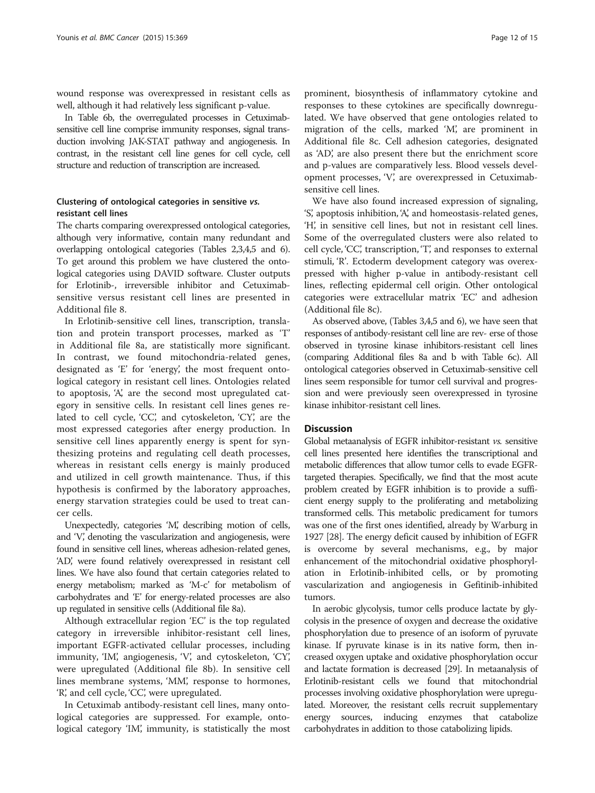wound response was overexpressed in resistant cells as well, although it had relatively less significant p-value.

In Table [6b](#page-12-0), the overregulated processes in Cetuximabsensitive cell line comprise immunity responses, signal transduction involving JAK-STAT pathway and angiogenesis. In contrast, in the resistant cell line genes for cell cycle, cell structure and reduction of transcription are increased.

# Clustering of ontological categories in sensitive vs. resistant cell lines

The charts comparing overexpressed ontological categories, although very informative, contain many redundant and overlapping ontological categories (Tables [2](#page-4-0)[,3](#page-8-0)[,4,](#page-9-0)[5](#page-10-0) and [6](#page-12-0)). To get around this problem we have clustered the ontological categories using DAVID software. Cluster outputs for Erlotinib-, irreversible inhibitor and Cetuximabsensitive versus resistant cell lines are presented in Additional file [8.](#page-13-0)

In Erlotinib-sensitive cell lines, transcription, translation and protein transport processes, marked as 'T' in Additional file [8a](#page-13-0), are statistically more significant. In contrast, we found mitochondria-related genes, designated as 'E' for 'energy', the most frequent ontological category in resistant cell lines. Ontologies related to apoptosis, 'A', are the second most upregulated category in sensitive cells. In resistant cell lines genes related to cell cycle, 'CC', and cytoskeleton, 'CY', are the most expressed categories after energy production. In sensitive cell lines apparently energy is spent for synthesizing proteins and regulating cell death processes, whereas in resistant cells energy is mainly produced and utilized in cell growth maintenance. Thus, if this hypothesis is confirmed by the laboratory approaches, energy starvation strategies could be used to treat cancer cells.

Unexpectedly, categories 'M', describing motion of cells, and 'V', denoting the vascularization and angiogenesis, were found in sensitive cell lines, whereas adhesion-related genes, 'AD', were found relatively overexpressed in resistant cell lines. We have also found that certain categories related to energy metabolism; marked as 'M-c' for metabolism of carbohydrates and 'E' for energy-related processes are also up regulated in sensitive cells (Additional file [8a](#page-13-0)).

Although extracellular region 'EC' is the top regulated category in irreversible inhibitor-resistant cell lines, important EGFR-activated cellular processes, including immunity, 'IM', angiogenesis, 'V', and cytoskeleton, 'CY', were upregulated (Additional file [8b](#page-13-0)). In sensitive cell lines membrane systems, 'MM', response to hormones, 'R', and cell cycle, 'CC', were upregulated.

In Cetuximab antibody-resistant cell lines, many ontological categories are suppressed. For example, ontological category 'IM', immunity, is statistically the most

prominent, biosynthesis of inflammatory cytokine and responses to these cytokines are specifically downregulated. We have observed that gene ontologies related to migration of the cells, marked 'M', are prominent in Additional file [8c](#page-13-0). Cell adhesion categories, designated as 'AD', are also present there but the enrichment score and p-values are comparatively less. Blood vessels development processes, 'V', are overexpressed in Cetuximabsensitive cell lines.

We have also found increased expression of signaling, 'S', apoptosis inhibition, 'A', and homeostasis-related genes, 'H', in sensitive cell lines, but not in resistant cell lines. Some of the overregulated clusters were also related to cell cycle, 'CC', transcription, 'T', and responses to external stimuli, 'R'. Ectoderm development category was overexpressed with higher p-value in antibody-resistant cell lines, reflecting epidermal cell origin. Other ontological categories were extracellular matrix 'EC' and adhesion (Additional file [8c](#page-13-0)).

As observed above, (Tables [3,](#page-8-0)[4](#page-9-0)[,5](#page-10-0) and [6](#page-12-0)), we have seen that responses of antibody-resistant cell line are rev- erse of those observed in tyrosine kinase inhibitors-resistant cell lines (comparing Additional files [8a](#page-13-0) and b with Table [6](#page-12-0)c). All ontological categories observed in Cetuximab-sensitive cell lines seem responsible for tumor cell survival and progression and were previously seen overexpressed in tyrosine kinase inhibitor-resistant cell lines.

# **Discussion**

Global metaanalysis of EGFR inhibitor-resistant vs. sensitive cell lines presented here identifies the transcriptional and metabolic differences that allow tumor cells to evade EGFRtargeted therapies. Specifically, we find that the most acute problem created by EGFR inhibition is to provide a sufficient energy supply to the proliferating and metabolizing transformed cells. This metabolic predicament for tumors was one of the first ones identified, already by Warburg in 1927 [[28](#page-14-0)]. The energy deficit caused by inhibition of EGFR is overcome by several mechanisms, e.g., by major enhancement of the mitochondrial oxidative phosphorylation in Erlotinib-inhibited cells, or by promoting vascularization and angiogenesis in Gefitinib-inhibited tumors.

In aerobic glycolysis, tumor cells produce lactate by glycolysis in the presence of oxygen and decrease the oxidative phosphorylation due to presence of an isoform of pyruvate kinase. If pyruvate kinase is in its native form, then increased oxygen uptake and oxidative phosphorylation occur and lactate formation is decreased [\[29\]](#page-14-0). In metaanalysis of Erlotinib-resistant cells we found that mitochondrial processes involving oxidative phosphorylation were upregulated. Moreover, the resistant cells recruit supplementary energy sources, inducing enzymes that catabolize carbohydrates in addition to those catabolizing lipids.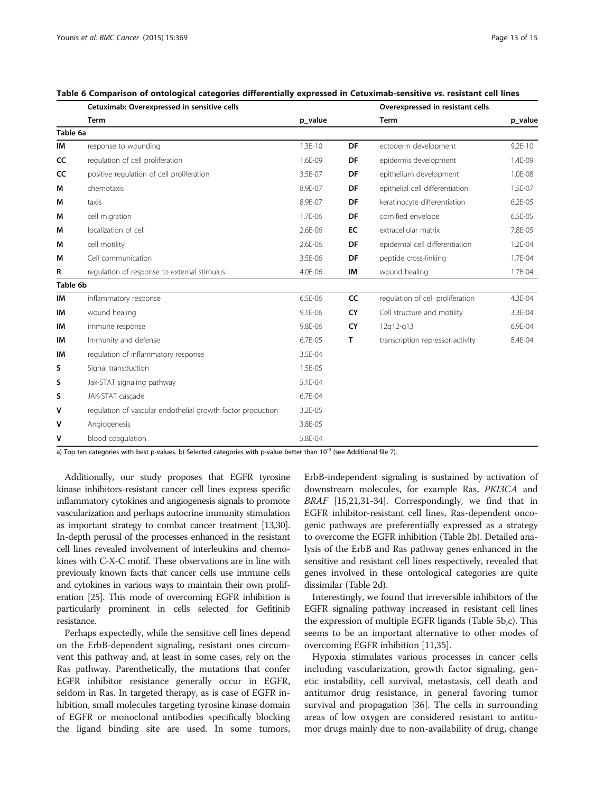|              | Cetuximab: Overexpressed in sensitive cells                 |           |    | Overexpressed in resistant cells |             |
|--------------|-------------------------------------------------------------|-----------|----|----------------------------------|-------------|
|              | <b>Term</b>                                                 | p value   |    | <b>Term</b>                      | p value     |
| Table 6a     |                                                             |           |    |                                  |             |
| IM           | response to wounding                                        | $1.3E-10$ | DF | ectoderm development             | $9.2E - 10$ |
| CC           | regulation of cell proliferation                            | 1.6E-09   | DF | epidermis development            | 1.4E-09     |
| CC           | positive regulation of cell proliferation                   | 3.5E-07   | DF | epithelium development           | 1.0E-08     |
| М            | chemotaxis                                                  | 8.9E-07   | DF | epithelial cell differentiation  | 1.5E-07     |
| M            | taxis                                                       | 8.9E-07   | DF | keratinocyte differentiation     | $6.2E - 05$ |
| M            | cell migration                                              | 1.7E-06   | DF | cornified envelope               | 6.5E-05     |
| M            | localization of cell                                        | 2.6E-06   | EC | extracellular matrix             | 7.8E-05     |
| M            | cell motility                                               | 2.6E-06   | DF | epidermal cell differentiation   | 1.2E-04     |
| M            | Cell communication                                          | 3.5E-06   | DF | peptide cross-linking            | 1.7E-04     |
| R            | regulation of response to external stimulus                 | 4.0E-06   | IM | wound healing                    | 1.7E-04     |
| Table 6b     |                                                             |           |    |                                  |             |
| IM           | inflammatory response                                       | 6.5E-06   | CC | regulation of cell proliferation | 4.3E-04     |
| IM           | wound healing                                               | 9.1E-06   | CY | Cell structure and motility      | 3.3E-04     |
| IМ           | immune response                                             | 9.8E-06   | CY | 12q12-q13                        | 6.9E-04     |
| IM           | Immunity and defense                                        | 6.7E-05   | т  | transcription repressor activity | 8.4E-04     |
| IM           | regulation of inflammatory response                         | 3.5E-04   |    |                                  |             |
| S            | Signal transduction                                         | 1.5E-05   |    |                                  |             |
| s            | Jak-STAT signaling pathway                                  | 5.1E-04   |    |                                  |             |
| s            | JAK-STAT cascade                                            | 6.7E-04   |    |                                  |             |
| $\mathsf{v}$ | regulation of vascular endothelial growth factor production | 3.2E-05   |    |                                  |             |
| v            | Angiogenesis                                                | 3.8E-05   |    |                                  |             |
| $\mathsf{v}$ | blood coagulation                                           | 5.8E-04   |    |                                  |             |

<span id="page-12-0"></span>Table 6 Comparison of ontological categories differentially expressed in Cetuximab-sensitive vs. resistant cell lines

a) Top ten categories with best p-values. b) Selected categories with p-value better than  $10^{-4}$  (see Additional file [7](#page-13-0)).

Additionally, our study proposes that EGFR tyrosine kinase inhibitors-resistant cancer cell lines express specific inflammatory cytokines and angiogenesis signals to promote vascularization and perhaps autocrine immunity stimulation as important strategy to combat cancer treatment [[13,30](#page-14-0)]. In-depth perusal of the processes enhanced in the resistant cell lines revealed involvement of interleukins and chemokines with C-X-C motif. These observations are in line with previously known facts that cancer cells use immune cells and cytokines in various ways to maintain their own proliferation [[25\]](#page-14-0). This mode of overcoming EGFR inhibition is particularly prominent in cells selected for Gefitinib resistance.

Perhaps expectedly, while the sensitive cell lines depend on the ErbB-dependent signaling, resistant ones circumvent this pathway and, at least in some cases, rely on the Ras pathway. Parenthetically, the mutations that confer EGFR inhibitor resistance generally occur in EGFR, seldom in Ras. In targeted therapy, as is case of EGFR inhibition, small molecules targeting tyrosine kinase domain of EGFR or monoclonal antibodies specifically blocking the ligand binding site are used. In some tumors, ErbB-independent signaling is sustained by activation of downstream molecules, for example Ras, PKI3CA and BRAF [\[15,21,31-34\]](#page-14-0). Correspondingly, we find that in EGFR inhibitor-resistant cell lines, Ras-dependent oncogenic pathways are preferentially expressed as a strategy to overcome the EGFR inhibition (Table [2](#page-4-0)b). Detailed analysis of the ErbB and Ras pathway genes enhanced in the sensitive and resistant cell lines respectively, revealed that genes involved in these ontological categories are quite dissimilar (Table [2](#page-4-0)d).

Interestingly, we found that irreversible inhibitors of the EGFR signaling pathway increased in resistant cell lines the expression of multiple EGFR ligands (Table [5b](#page-10-0),c). This seems to be an important alternative to other modes of overcoming EGFR inhibition [\[11,35\]](#page-14-0).

Hypoxia stimulates various processes in cancer cells including vascularization, growth factor signaling, genetic instability, cell survival, metastasis, cell death and antitumor drug resistance, in general favoring tumor survival and propagation [\[36](#page-14-0)]. The cells in surrounding areas of low oxygen are considered resistant to antitumor drugs mainly due to non-availability of drug, change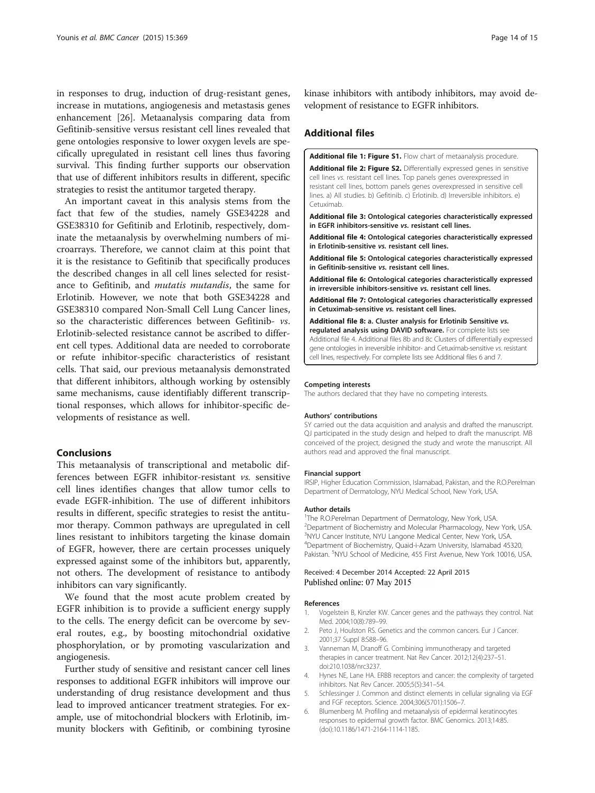<span id="page-13-0"></span>in responses to drug, induction of drug-resistant genes, increase in mutations, angiogenesis and metastasis genes enhancement [\[26](#page-14-0)]. Metaanalysis comparing data from Gefitinib-sensitive versus resistant cell lines revealed that gene ontologies responsive to lower oxygen levels are specifically upregulated in resistant cell lines thus favoring survival. This finding further supports our observation that use of different inhibitors results in different, specific strategies to resist the antitumor targeted therapy.

An important caveat in this analysis stems from the fact that few of the studies, namely GSE34228 and GSE38310 for Gefitinib and Erlotinib, respectively, dominate the metaanalysis by overwhelming numbers of microarrays. Therefore, we cannot claim at this point that it is the resistance to Gefitinib that specifically produces the described changes in all cell lines selected for resistance to Gefitinib, and mutatis mutandis, the same for Erlotinib. However, we note that both GSE34228 and GSE38310 compared Non-Small Cell Lung Cancer lines, so the characteristic differences between Gefitinib- vs. Erlotinib-selected resistance cannot be ascribed to different cell types. Additional data are needed to corroborate or refute inhibitor-specific characteristics of resistant cells. That said, our previous metaanalysis demonstrated that different inhibitors, although working by ostensibly same mechanisms, cause identifiably different transcriptional responses, which allows for inhibitor-specific developments of resistance as well.

# Conclusions

This metaanalysis of transcriptional and metabolic differences between EGFR inhibitor-resistant vs. sensitive cell lines identifies changes that allow tumor cells to evade EGFR-inhibition. The use of different inhibitors results in different, specific strategies to resist the antitumor therapy. Common pathways are upregulated in cell lines resistant to inhibitors targeting the kinase domain of EGFR, however, there are certain processes uniquely expressed against some of the inhibitors but, apparently, not others. The development of resistance to antibody inhibitors can vary significantly.

We found that the most acute problem created by EGFR inhibition is to provide a sufficient energy supply to the cells. The energy deficit can be overcome by several routes, e.g., by boosting mitochondrial oxidative phosphorylation, or by promoting vascularization and angiogenesis.

Further study of sensitive and resistant cancer cell lines responses to additional EGFR inhibitors will improve our understanding of drug resistance development and thus lead to improved anticancer treatment strategies. For example, use of mitochondrial blockers with Erlotinib, immunity blockers with Gefitinib, or combining tyrosine

kinase inhibitors with antibody inhibitors, may avoid development of resistance to EGFR inhibitors.

# Additional files

[Additional file 1: Figure S1.](http://www.biomedcentral.com/content/supplementary/s12885-015-1337-3-s1.pdf) Flow chart of metaanalysis procedure.

[Additional file 2: Figure S2.](http://www.biomedcentral.com/content/supplementary/s12885-015-1337-3-s2.pdf) Differentially expressed genes in sensitive cell lines vs. resistant cell lines. Top panels genes overexpressed in resistant cell lines, bottom panels genes overexpressed in sensitive cell lines. a) All studies. b) Gefitinib. c) Erlotinib. d) Irreversible inhibitors. e) Cetuximab.

[Additional file 3:](http://www.biomedcentral.com/content/supplementary/s12885-015-1337-3-s3.zip) Ontological categories characteristically expressed in EGFR inhibitors-sensitive vs. resistant cell lines.

[Additional file 4:](http://www.biomedcentral.com/content/supplementary/s12885-015-1337-3-s4.zip) Ontological categories characteristically expressed in Erlotinib-sensitive vs. resistant cell lines.

[Additional file 5:](http://www.biomedcentral.com/content/supplementary/s12885-015-1337-3-s5.zip) Ontological categories characteristically expressed in Gefitinib-sensitive vs. resistant cell lines.

[Additional file 6:](http://www.biomedcentral.com/content/supplementary/s12885-015-1337-3-s6.zip) Ontological categories characteristically expressed in irreversible inhibitors-sensitive vs. resistant cell lines.

[Additional file 7:](http://www.biomedcentral.com/content/supplementary/s12885-015-1337-3-s7.zip) Ontological categories characteristically expressed in Cetuximab-sensitive vs. resistant cell lines.

[Additional file 8:](http://www.biomedcentral.com/content/supplementary/s12885-015-1337-3-s8.zip) a. Cluster analysis for Erlotinib Sensitive vs. regulated analysis using DAVID software. For complete lists see Additional file 4. Additional files 8b and 8c Clusters of differentially expressed gene ontologies in irreversible inhibitor- and Cetuximab-sensitive vs. resistant cell lines, respectively. For complete lists see Additional files 6 and 7.

## Competing interests

The authors declared that they have no competing interests.

# Authors' contributions

SY carried out the data acquisition and analysis and drafted the manuscript. QJ participated in the study design and helped to draft the manuscript. MB conceived of the project, designed the study and wrote the manuscript. All authors read and approved the final manuscript.

# Financial support

IRSIP, Higher Education Commission, Islamabad, Pakistan, and the R.O.Perelman Department of Dermatology, NYU Medical School, New York, USA.

# Author details

<sup>1</sup>The R.O.Perelman Department of Dermatology, New York, USA. 2 Department of Biochemistry and Molecular Pharmacology, New York, USA. <sup>3</sup>NYU Cancer Institute, NYU Langone Medical Center, New York, USA 4 Department of Biochemistry, Quaid-i-Azam University, Islamabad 45320, Pakistan. <sup>5</sup>NYU School of Medicine, 455 First Avenue, New York 10016, USA

# Received: 4 December 2014 Accepted: 22 April 2015 Published online: 07 May 2015

## References

- 1. Vogelstein B, Kinzler KW. Cancer genes and the pathways they control. Nat Med. 2004;10(8):789–99.
- 2. Peto J, Houlston RS. Genetics and the common cancers. Eur J Cancer. 2001;37 Suppl 8:S88–96.
- 3. Vanneman M, Dranoff G. Combining immunotherapy and targeted therapies in cancer treatment. Nat Rev Cancer. 2012;12(4):237–51. doi:210.1038/nrc3237.
- 4. Hynes NE, Lane HA. ERBB receptors and cancer: the complexity of targeted inhibitors. Nat Rev Cancer. 2005;5(5):341–54.
- 5. Schlessinger J. Common and distinct elements in cellular signaling via EGF and FGF receptors. Science. 2004;306(5701):1506–7.
- 6. Blumenberg M. Profiling and metaanalysis of epidermal keratinocytes responses to epidermal growth factor. BMC Genomics. 2013;14:85. (doi):10.1186/1471-2164-1114-1185.